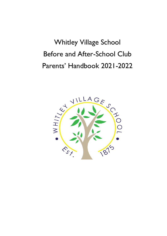# Whitley Village School Before and After-School Club Parents' Handbook 2021-2022

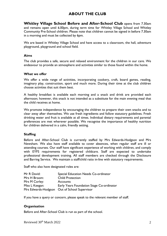# **ABOUT THE CLUB**

**Whitley Village School Before and After-School Club** opens from 7.30am and remains open until 6.00pm, during term time for Whitley Village School and Whitley Community Pre-School children. Please note that children cannot be signed in before 7.30am in a morning and must be collected by 6pm.

We are based in Whitley Village School and have access to a classroom, the hall, adventure playground, playground and school field.

#### **Aims**

The club provides a safe, secure and relaxed environment for the children in our care. We endeavour to provide an atmosphere and activities similar to those found within the home.

#### **What we offer**

We offer a wide range of activities, incorporating cookery, craft, board games, reading, imaginary play, construction, sport and much more. During their time at the club children choose activities that suit them best.

A healthy breakfast is available each morning and a snack and drink are provided each afternoon; however, this snack is not intended as a substitute for the main evening meal that the child receives at home.

We promote independence by encouraging the children to prepare their own snacks and to clear away after themselves. We use fresh ingredients and follow statutory guidelines. Fresh drinking water and fruit is available at all times. Individual dietary requirements and parental preferences are met wherever possible. We recognise the importance of healthy nutrition for children delivered in a calm, friendly setting.

# **Staffing**

Before and After-School Club is currently staffed by Mrs Edwards-Hodgson and Mrs Newsham. We also have staff available to cover absences, when regular staff are ill or attending courses. Our staff have significant experience of working with children, and comply with EYFS requirements for registered childcare. Staff are expected to undertake professional development training. All staff members are checked through the Disclosure and Barring Service. We maintain a staff/child ratio in-line with statutory requirements.

Staff who also have designated roles are:

| Mr R David:    | Special Education Needs Co-ordinator         |
|----------------|----------------------------------------------|
| Mrs H Broom:   | <b>Child Protection</b>                      |
| Mrs M Corley:  | <b>Accounts</b>                              |
| Miss L Keegan: | Early Years Foundation Stage Co-ordinator    |
|                | Mrs Edwards-Hodgson Out of School Supervisor |

If you have a query or concern, please speak to the relevant member of staff.

# **Organisation**

Before and After-School Club is run as part of the school.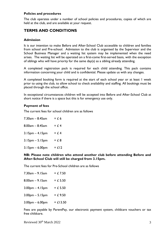# **Policies and procedures**

The club operates under a number of school policies and procedures, copies of which are held at the club, and are available at your request.

# **TERMS AND CONDITIONS**

#### **Admission**

It is our intention to make Before and After-School Club accessible to children and families from school and Pre-school. Admission to the club is organised by the Supervisor and the School Business Manager and a waiting list system may be implemented when the need arises. The waiting list will be operated on a first-come first-served basis, with the exception of siblings who will have priority for the same day(s) as a sibling already attending.

A completed registration pack is required for each child attending. This pack contains information concerning your child and is confidential. Please update us with any changes.

A completed booking form is required at the start of each school year or at least 1 week prior to using the club, to allow school to check availability and staffing. All bookings must be placed through the school office.

In exceptional circumstances children will be accepted into Before and After-School Club at short notice if there is a space but this is for emergency use only.

#### **Payment of fees**

The current fees for school children are as follows

| $7.30$ am $- 8.45$ am | $= 66$  |
|-----------------------|---------|
| $8.00am - 8.45am$     | $= 6.4$ |
| $3.15$ pm $-4.15$ pm  | $=$ £ 4 |
| $3.15pm - 5.15pm$     | $= 6.8$ |
| $3.15$ pm $- 6.00$ pm | $=$ £12 |

#### **NB: Please note children who attend another club before attending Before and After-School Club will still be charged from 3.15pm.**

The current fees for Pre-School children are as follows

| 7.30am – 9.15am   | $= 67.50$  |
|-------------------|------------|
| 8.00am - 9.15am   | $=$ £ 5.50 |
| $3.00pm - 4.15pm$ | $=$ £ 5.50 |
| $3.00pm - 5.15pm$ | $= 6.9.50$ |
| $3.00pm - 6.00pm$ | $=$ £13.50 |

Fees are payable by ParentPay, our electronic payment system, childcare vouchers or tax free childcare.

Reviewed 30<sup>th</sup> March 2022 3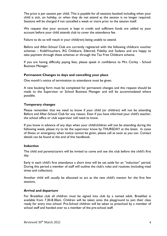The price is per session per child. This is payable for all sessions booked including when your child is sick, on holiday, or when they do not attend as the session is no longer required. Sessions will be charged if not cancelled a week or more prior to the session itself.

We request that your account is kept in credit and sufficient funds are added to your account before your child attends club to cover the attendance fee.

Failure to do so will result in your child(ren) being unable to attend.

Before and After-School Club are currently registered with the following childcare voucher schemes – KiddiVouchers, RG Childcare, Edenred, Fidelity and Sodexo and are happy to take payment through these schemes or through the Tax Free Childcare scheme.

If you are having difficulty paying fees, please speak in confidence to Mrs Corley - School Business Manager.

# **Permanent Changes to days and cancelling your place**

One month's notice of termination to attendance must be given.

A new booking form must be completed for permanent changes and this request should be made to the Supervisor or School Business Manager and will be accommodated where possible.

# **Temporary changes**

Please remember that we need to know if your child (or children) will not be attending Before and After-School Club for any reason. Even if you have informed your child's teacher, the school office or club supervisor still need to know.

If you know in advance of any days when your child/children will not be attending during the following week, please try to let the supervisor know by THURSDAY at the latest. In cases of illness or emergency when notice cannot be given, please call as soon as you can. Contact details can be found at the end of this handbook.

# **Induction**

The child and parents/carers will be invited to come and see the club before the child's first day.

Early in each child's first attendance a short time will be set aside for an "induction" period. During this period a member of staff will outline the club's rules and routines (including meal times and collection).

Another child will usually be allocated to act as the new child's mentor for the first few sessions.

# **Arrival and departure**

For Breakfast club all children must be signed into club by a named adult. Breakfast is available from 7.30-8.30am. Children will be taken onto the playground to join their class ready for entry into school. Pre-School children will be taken to preschool by a member of school staff and handed over to a member of the pre-school staff.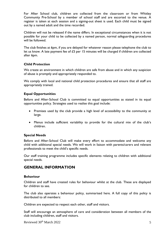For After School club, children are collected from the classroom or from Whitley Community Pre-School by a member of school staff and are escorted to the venue. A register is taken at each session and a signing-out sheet is used. Each child must be signed out by a named adult and the time recorded.

Children will not be released if the name differs. In exceptional circumstances when it is not possible for your child to be collected by a named person, normal safeguarding procedures will be followed.

The club finishes at 6pm, if you are delayed for whatever reason please telephone the club to let us know. A late payment fee of £5 per 15 minutes will be charged if children are collected after 6pm.

# **Child Protection**

We create an environment in which children are safe from abuse and in which any suspicion of abuse is promptly and appropriately responded to.

We comply with local and national child protection procedures and ensure that all staff are appropriately trained.

#### **Equal Opportunities**

Before and After-School Club is committed to equal opportunities as stated in its equal opportunities policy. Strategies used to realise this goal include:

- Premises used by the club provide a high level of accessibility to the community at large.
- Menus include sufficient variability to provide for the cultural mix of the club's children.

# **Special Needs**

Before and After-School Club will make every effort to accommodate and welcome any child with additional special needs. We will work in liaison with parents/carers and relevant professionals to meet the child's specific needs.

Our staff training programme includes specific elements relating to children with additional special needs.

# **GENERAL INFORMATION**

#### **Behaviour**

Children and staff have created rules for behaviour whilst at the club. These are displayed for children to see.

The club also operates a behaviour policy, summarised here. A full copy of this policy is distributed to all members:

Children are expected to respect each other, staff and visitors.

Staff will encourage an atmosphere of care and consideration between all members of the club including children, staff and visitors.

Reviewed 30<sup>th</sup> March 2022 5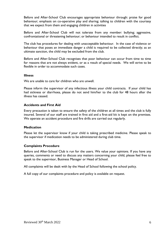Before and After-School Club encourages appropriate behaviour through: praise for good behaviour; emphasis on co-operative play and sharing; talking to children with the courtesy that we expect from them and engaging children in activities

Before and After-School Club will not tolerate from any member: bullying; aggressive, confrontational or threatening behaviour; or behaviour intended to result in conflict.

The club has procedures for dealing with unacceptable behaviour. In the case of violence or behaviour that poses an immediate danger a child is required to be collected directly; as an ultimate sanction, the child may be excluded from the club.

Before and After-School Club recognises that poor behaviour can occur from time to time for reasons that are not always evident, or as a result of special needs. We will strive to be flexible in order to accommodate such cases.

#### **Illness**

We are unable to care for children who are unwell.

Please inform the supervisor of any infectious illness your child contracts. If your child has had sickness or diarrhoea, please do not send him/her to the club for 48 hours after the illness has ceased.

# **Accidents and First Aid**

Every precaution is taken to ensure the safety of the children at all times and the club is fully insured. Several of our staff are trained in first aid and a first-aid kit is kept on the premises. We operate an accident procedure and fire drills are carried out regularly.

# **Medication**

Please let the supervisor know if your child is taking prescribed medicine. Please speak to the supervisor if medication needs to be administered during club time.

# **Complaints Procedure**

Before and After-School Club is run for the users. We value your opinions. If you have any queries, comments or need to discuss any matters concerning your child, please feel free to speak to the supervisor, Business Manager or Head of School.

All complaints will be dealt with by the Head of School following the school policy.

A full copy of our complaints procedure and policy is available on request.